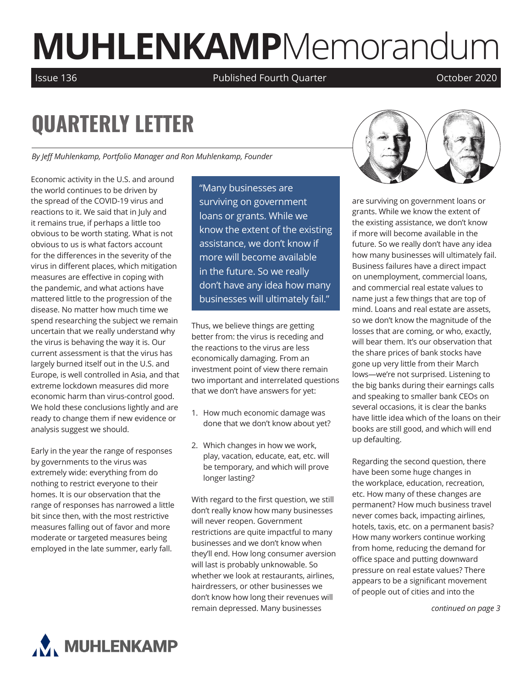# **MUHLENKAMP**Memorandum

Issue 136 Published Fourth Quarter October 2020

## **QUARTERLY LETTER**

*By Jeff Muhlenkamp, Portfolio Manager and Ron Muhlenkamp, Founder*

Economic activity in the U.S. and around the world continues to be driven by the spread of the COVID-19 virus and reactions to it. We said that in July and it remains true, if perhaps a little too obvious to be worth stating. What is not obvious to us is what factors account for the differences in the severity of the virus in different places, which mitigation measures are effective in coping with the pandemic, and what actions have mattered little to the progression of the disease. No matter how much time we spend researching the subject we remain uncertain that we really understand why the virus is behaving the way it is. Our current assessment is that the virus has largely burned itself out in the U.S. and Europe, is well controlled in Asia, and that extreme lockdown measures did more economic harm than virus-control good. We hold these conclusions lightly and are ready to change them if new evidence or analysis suggest we should.

Early in the year the range of responses by governments to the virus was extremely wide: everything from do nothing to restrict everyone to their homes. It is our observation that the range of responses has narrowed a little bit since then, with the most restrictive measures falling out of favor and more moderate or targeted measures being employed in the late summer, early fall.

"Many businesses are surviving on government loans or grants. While we know the extent of the existing assistance, we don't know if more will become available in the future. So we really don't have any idea how many businesses will ultimately fail."

Thus, we believe things are getting better from: the virus is receding and the reactions to the virus are less economically damaging. From an investment point of view there remain two important and interrelated questions that we don't have answers for yet:

- 1. How much economic damage was done that we don't know about yet?
- 2. Which changes in how we work, play, vacation, educate, eat, etc. will be temporary, and which will prove longer lasting?

With regard to the first question, we still don't really know how many businesses will never reopen. Government restrictions are quite impactful to many businesses and we don't know when they'll end. How long consumer aversion will last is probably unknowable. So whether we look at restaurants, airlines, hairdressers, or other businesses we don't know how long their revenues will remain depressed. Many businesses



are surviving on government loans or grants. While we know the extent of the existing assistance, we don't know if more will become available in the future. So we really don't have any idea how many businesses will ultimately fail. Business failures have a direct impact on unemployment, commercial loans, and commercial real estate values to name just a few things that are top of mind. Loans and real estate are assets, so we don't know the magnitude of the losses that are coming, or who, exactly, will bear them. It's our observation that the share prices of bank stocks have gone up very little from their March lows—we're not surprised. Listening to the big banks during their earnings calls and speaking to smaller bank CEOs on several occasions, it is clear the banks have little idea which of the loans on their books are still good, and which will end up defaulting.

Regarding the second question, there have been some huge changes in the workplace, education, recreation, etc. How many of these changes are permanent? How much business travel never comes back, impacting airlines, hotels, taxis, etc. on a permanent basis? How many workers continue working from home, reducing the demand for office space and putting downward pressure on real estate values? There appears to be a significant movement of people out of cities and into the

*continued on page 3*

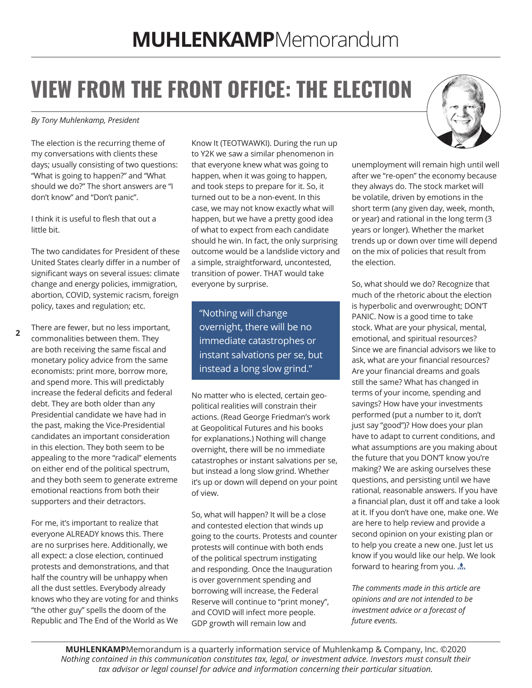## **VIEW FROM THE FRONT OFFICE: THE ELECTION**

#### *By Tony Muhlenkamp, President*

The election is the recurring theme of my conversations with clients these days; usually consisting of two questions: "What is going to happen?" and "What should we do?" The short answers are "I don't know" and "Don't panic".

I think it is useful to flesh that out a little bit.

The two candidates for President of these United States clearly differ in a number of significant ways on several issues: climate change and energy policies, immigration, abortion, COVID, systemic racism, foreign policy, taxes and regulation; etc.

**2** There are fewer, but no less important, commonalities between them. They are both receiving the same fiscal and monetary policy advice from the same economists: print more, borrow more, and spend more. This will predictably increase the federal deficits and federal debt. They are both older than any Presidential candidate we have had in the past, making the Vice-Presidential candidates an important consideration in this election. They both seem to be appealing to the more "radical" elements on either end of the political spectrum, and they both seem to generate extreme emotional reactions from both their supporters and their detractors.

For me, it's important to realize that everyone ALREADY knows this. There are no surprises here. Additionally, we all expect: a close election, continued protests and demonstrations, and that half the country will be unhappy when all the dust settles. Everybody already knows who they are voting for and thinks "the other guy" spells the doom of the Republic and The End of the World as We Know It (TEOTWAWKI). During the run up to Y2K we saw a similar phenomenon in that everyone knew what was going to happen, when it was going to happen, and took steps to prepare for it. So, it turned out to be a non-event. In this case, we may not know exactly what will happen, but we have a pretty good idea of what to expect from each candidate should he win. In fact, the only surprising outcome would be a landslide victory and a simple, straightforward, uncontested, transition of power. THAT would take everyone by surprise.

"Nothing will change overnight, there will be no immediate catastrophes or instant salvations per se, but instead a long slow grind."

No matter who is elected, certain geopolitical realities will constrain their actions. (Read George Friedman's work at Geopolitical Futures and his books for explanations.) Nothing will change overnight, there will be no immediate catastrophes or instant salvations per se, but instead a long slow grind. Whether it's up or down will depend on your point of view.

So, what will happen? It will be a close and contested election that winds up going to the courts. Protests and counter protests will continue with both ends of the political spectrum instigating and responding. Once the Inauguration is over government spending and borrowing will increase, the Federal Reserve will continue to "print money", and COVID will infect more people. GDP growth will remain low and



unemployment will remain high until well after we "re-open" the economy because they always do. The stock market will be volatile, driven by emotions in the short term (any given day, week, month, or year) and rational in the long term (3 years or longer). Whether the market trends up or down over time will depend on the mix of policies that result from the election.

So, what should we do? Recognize that much of the rhetoric about the election is hyperbolic and overwrought; DON'T PANIC. Now is a good time to take stock. What are your physical, mental, emotional, and spiritual resources? Since we are financial advisors we like to ask, what are your financial resources? Are your financial dreams and goals still the same? What has changed in terms of your income, spending and savings? How have your investments performed (put a number to it, don't just say "good")? How does your plan have to adapt to current conditions, and what assumptions are you making about the future that you DON'T know you're making? We are asking ourselves these questions, and persisting until we have rational, reasonable answers. If you have a financial plan, dust it off and take a look at it. If you don't have one, make one. We are here to help review and provide a second opinion on your existing plan or to help you create a new one. Just let us know if you would like our help. We look forward to hearing from you.

*The comments made in this article are opinions and are not intended to be investment advice or a forecast of future events.* 

**MUHLENKAMP**Memorandum is a quarterly information service of Muhlenkamp & Company, Inc. ©2020 *Nothing contained in this communication constitutes tax, legal, or investment advice. Investors must consult their tax advisor or legal counsel for advice and information concerning their particular situation.*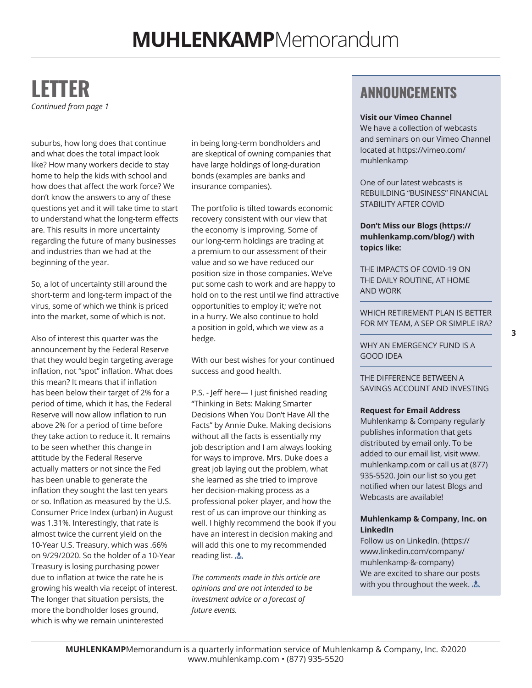#### **LETTER** *Continued from page 1*

suburbs, how long does that continue and what does the total impact look like? How many workers decide to stay home to help the kids with school and how does that affect the work force? We don't know the answers to any of these questions yet and it will take time to start to understand what the long-term effects are. This results in more uncertainty regarding the future of many businesses and industries than we had at the beginning of the year.

So, a lot of uncertainty still around the short-term and long-term impact of the virus, some of which we think is priced into the market, some of which is not.

Also of interest this quarter was the announcement by the Federal Reserve that they would begin targeting average inflation, not "spot" inflation. What does this mean? It means that if inflation has been below their target of 2% for a period of time, which it has, the Federal Reserve will now allow inflation to run above 2% for a period of time before they take action to reduce it. It remains to be seen whether this change in attitude by the Federal Reserve actually matters or not since the Fed has been unable to generate the inflation they sought the last ten years or so. Inflation as measured by the U.S. Consumer Price Index (urban) in August was 1.31%. Interestingly, that rate is almost twice the current yield on the 10-Year U.S. Treasury, which was .66% on 9/29/2020. So the holder of a 10-Year Treasury is losing purchasing power due to inflation at twice the rate he is growing his wealth via receipt of interest. The longer that situation persists, the more the bondholder loses ground, which is why we remain uninterested

in being long-term bondholders and are skeptical of owning companies that have large holdings of long-duration bonds (examples are banks and insurance companies).

The portfolio is tilted towards economic recovery consistent with our view that the economy is improving. Some of our long-term holdings are trading at a premium to our assessment of their value and so we have reduced our position size in those companies. We've put some cash to work and are happy to hold on to the rest until we find attractive opportunities to employ it; we're not in a hurry. We also continue to hold a position in gold, which we view as a hedge.

With our best wishes for your continued success and good health.

P.S. - Jeff here— I just finished reading "Thinking in Bets: Making Smarter Decisions When You Don't Have All the Facts" by Annie Duke. Making decisions without all the facts is essentially my job description and I am always looking for ways to improve. Mrs. Duke does a great job laying out the problem, what she learned as she tried to improve her decision-making process as a professional poker player, and how the rest of us can improve our thinking as well. I highly recommend the book if you have an interest in decision making and will add this one to my recommended reading list. A.

*The comments made in this article are opinions and are not intended to be investment advice or a forecast of future events.* 

#### **ANNOUNCEMENTS**

#### **Visit our Vimeo Channel**

We have a collection of webcasts and seminars on our Vimeo Channel located at [https://vimeo.com/](https://vimeo.com/muhlenkamp) [muhlenkamp](https://vimeo.com/muhlenkamp)

One of our latest webcasts is REBUILDING "BUSINESS" FINANCIAL STABILITY AFTER COVID

**Don't Miss our Blogs (https:// muhlenkamp.com/blog/) with topics like:**

[THE IMPACTS OF COVID-19 ON](http://THE IMPACTS OF COVID-19 ON THE DAILY ROUTINE, AT HOME AND WORK)  [THE DAILY ROUTINE, AT HOME](http://THE IMPACTS OF COVID-19 ON THE DAILY ROUTINE, AT HOME AND WORK)  [AND WORK](http://THE IMPACTS OF COVID-19 ON THE DAILY ROUTINE, AT HOME AND WORK)

WHICH RETIREMENT PLAN IS BETTER [FOR MY TEAM, A SEP OR SIMPLE IRA?](http://WHICH RETIREMENT PLAN IS BETTER FOR MY TEAM, A SEP OR SIMPLE IRA?)

[WHY AN EMERGENCY FUND IS A](http://WHY AN EMERGENCY FUND IS A GOOD IDEA)  [GOOD IDEA](http://WHY AN EMERGENCY FUND IS A GOOD IDEA)

[THE DIFFERENCE BETWEEN A](http://THE DIFFERENCE BETWEEN A SAVINGS ACCOUNT AND INVESTING)  [SAVINGS ACCOUNT AND INVESTING](http://THE DIFFERENCE BETWEEN A SAVINGS ACCOUNT AND INVESTING)

#### **Request for Email Address**

Muhlenkamp & Company regularly publishes information that gets distributed by email only. To be added to our email list, visit www. muhlenkamp.com or call us at (877) 935-5520. Join our list so you get notified when our latest Blogs and Webcasts are available!

#### **Muhlenkamp & Company, Inc. on LinkedIn**

Follow us on LinkedIn. (https:// www.linkedin.com/company/ muhlenkamp-&-company) We are excited to share our posts with you throughout the week.  $\Lambda$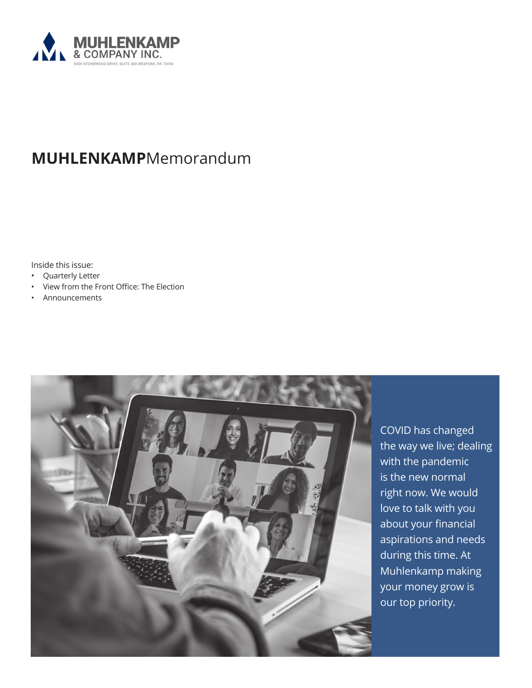

### **MUHLENKAMP**Memorandum

Inside this issue:

- Quarterly Letter
- View from the Front Office: The Election
- Announcements



COVID has changed the way we live; dealing with the pandemic is the new normal right now. We would love to talk with you about your financial aspirations and needs during this time. At Muhlenkamp making your money grow is our top priority.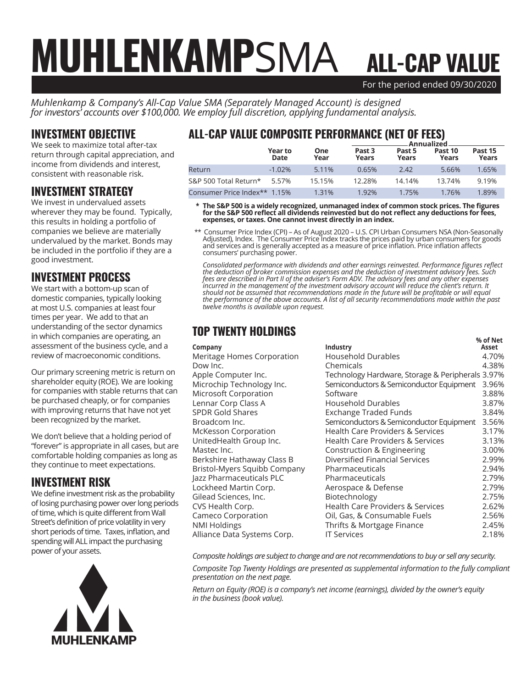### For the period ended 09/30/2020 ALL-CAP VALUE MUHLENKAMPSMA

*Muhlenkamp & Company's All-Cap Value SMA (Separately Managed Account) is designed for investors' accounts over \$100,000. We employ full discretion, applying fundamental analysis.*

#### INVESTMENT OBJECTIVE

We seek to maximize total after-tax return through capital appreciation, and income from dividends and interest, consistent with reasonable risk.

#### INVESTMENT STRATEGY

We invest in undervalued assets wherever they may be found. Typically, this results in holding a portfolio of companies we believe are materially undervalued by the market. Bonds may be included in the portfolio if they are a good investment.

#### INVESTMENT PROCESS

We start with a bottom-up scan of domestic companies, typically looking at most U.S. companies at least four times per year. We add to that an understanding of the sector dynamics in which companies are operating, an assessment of the business cycle, and a review of macroeconomic conditions.

Our primary screening metric is return on shareholder equity (ROE). We are looking for companies with stable returns that can be purchased cheaply, or for companies with improving returns that have not yet been recognized by the market.

We don't believe that a holding period of "forever" is appropriate in all cases, but are comfortable holding companies as long as they continue to meet expectations.

#### INVESTMENT RISK

We define investment risk as the probability of losing purchasing power over long periods of time, which is quite different from Wall Street's definition of price volatility in very short periods of time. Taxes, inflation, and spending will ALL impact the purchasing power of your assets.



#### ALL-CAP VALUE COMPOSITE PERFORMANCE (NET OF FEES)

|                              |                 |                    | Annualized                 |                 |                  |                  |  |
|------------------------------|-----------------|--------------------|----------------------------|-----------------|------------------|------------------|--|
|                              | Year to<br>Date | <b>One</b><br>Year | Past <sub>3</sub><br>Years | Past 5<br>Years | Past 10<br>Years | Past 15<br>Years |  |
| Return                       | $-1.02\%$       | 5.11%              | 0.65%                      | 2.42            | 5.66%            | 1.65%            |  |
| S&P 500 Total Return*        | 5.57%           | 15.15%             | 12.28%                     | 14.14%          | 13.74%           | 9.19%            |  |
| Consumer Price Index** 1.15% |                 | 1.31%              | 1.92%                      | 1.75%           | 1.76%            | 1.89%            |  |

 **\* The S&P 500 is a widely recognized, unmanaged index of common stock prices. The figures for the S&P 500 reflect all dividends reinvested but do not reflect any deductions for fees, expenses, or taxes. One cannot invest directly in an index.**

 \*\* Consumer Price Index (CPI) – As of August 2020 – U.S. CPI Urban Consumers NSA (Non-Seasonally Adjusted), Index. The Consumer Price Index tracks the prices paid by urban consumers for goods and services and is generally accepted as a measure of price inflation. Price inflation affects consumers' purchasing power.

*Consolidated performance with dividends and other earnings reinvested. Performance figures reflect the deduction of broker commission expenses and the deduction of investment advisory fees. Such fees are described in Part II of the adviser's Form ADV. The advisory fees and any other expenses incurred in the management of the investment advisory account will reduce the client's return. It should not be assumed that recommendations made in the future will be profitable or will equal the performance of the above accounts. A list of all security recommendations made within the past twelve months is available upon request.*

#### TOP TWENTY HOLDINGS

|                              |                                                  | % of Net |
|------------------------------|--------------------------------------------------|----------|
| Company                      | Industry                                         | Asset    |
| Meritage Homes Corporation   | Household Durables                               | 4.70%    |
| Dow Inc.                     | Chemicals                                        | 4.38%    |
| Apple Computer Inc.          | Technology Hardware, Storage & Peripherals 3.97% |          |
| Microchip Technology Inc.    | Semiconductors & Semiconductor Equipment         | 3.96%    |
| Microsoft Corporation        | Software                                         | 3.88%    |
| Lennar Corp Class A          | Household Durables                               | 3.87%    |
| <b>SPDR Gold Shares</b>      | Exchange Traded Funds                            | 3.84%    |
| Broadcom Inc.                | Semiconductors & Semiconductor Equipment         | 3.56%    |
| <b>McKesson Corporation</b>  | Health Care Providers & Services                 | 3.17%    |
| UnitedHealth Group Inc.      | <b>Health Care Providers &amp; Services</b>      | 3.13%    |
| Mastec Inc.                  | Construction & Engineering                       | 3.00%    |
| Berkshire Hathaway Class B   | Diversified Financial Services                   | 2.99%    |
| Bristol-Myers Squibb Company | Pharmaceuticals                                  | 2.94%    |
| Jazz Pharmaceuticals PLC     | Pharmaceuticals                                  | 2.79%    |
| Lockheed Martin Corp.        | Aerospace & Defense                              | 2.79%    |
| Gilead Sciences, Inc.        | Biotechnology                                    | 2.75%    |
| CVS Health Corp.             | Health Care Providers & Services                 | 2.62%    |
| Cameco Corporation           | Oil, Gas, & Consumable Fuels                     | 2.56%    |
| NMI Holdings                 | Thrifts & Mortgage Finance                       | 2.45%    |
| Alliance Data Systems Corp.  | <b>IT Services</b>                               | 2.18%    |
|                              |                                                  |          |

*Composite holdings are subject to change and are not recommendations to buy or sell any security.*

*Composite Top Twenty Holdings are presented as supplemental information to the fully compliant presentation on the next page.*

*Return on Equity (ROE) is a company's net income (earnings), divided by the owner's equity in the business (book value).*